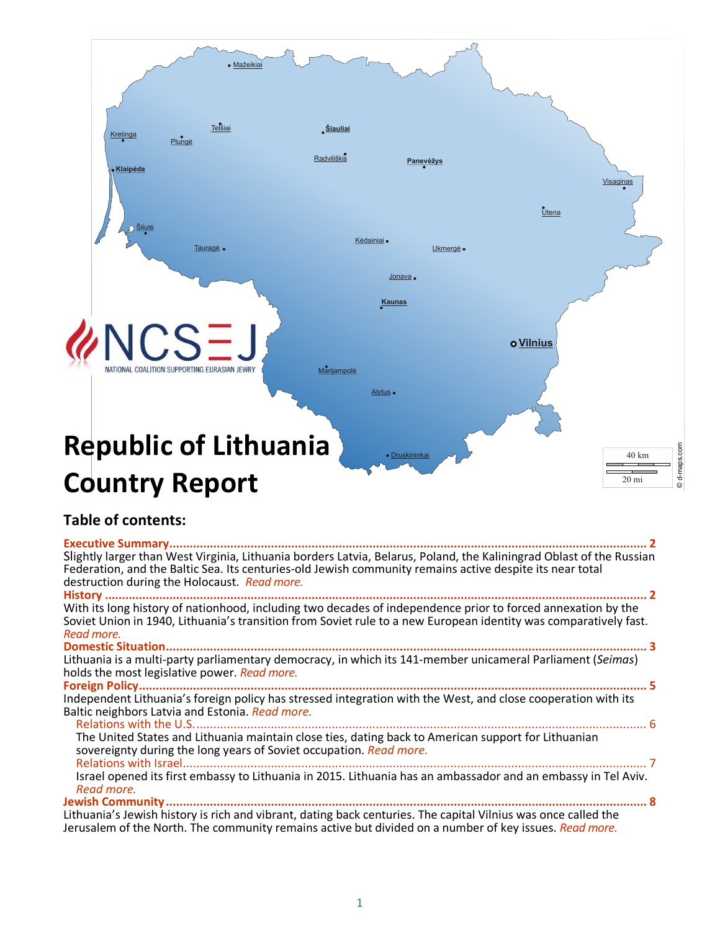

© d-maps.com d-maps.com

# **Country Report**

## **Table of contents:**

| Slightly larger than West Virginia, Lithuania borders Latvia, Belarus, Poland, the Kaliningrad Oblast of the Russian<br>Federation, and the Baltic Sea. Its centuries-old Jewish community remains active despite its near total |
|----------------------------------------------------------------------------------------------------------------------------------------------------------------------------------------------------------------------------------|
| destruction during the Holocaust. Read more.                                                                                                                                                                                     |
|                                                                                                                                                                                                                                  |
| With its long history of nationhood, including two decades of independence prior to forced annexation by the                                                                                                                     |
| Soviet Union in 1940, Lithuania's transition from Soviet rule to a new European identity was comparatively fast.                                                                                                                 |
| Read more.                                                                                                                                                                                                                       |
|                                                                                                                                                                                                                                  |
| Lithuania is a multi-party parliamentary democracy, in which its 141-member unicameral Parliament (Seimas)                                                                                                                       |
| holds the most legislative power. Read more.                                                                                                                                                                                     |
|                                                                                                                                                                                                                                  |
| Independent Lithuania's foreign policy has stressed integration with the West, and close cooperation with its                                                                                                                    |
| Baltic neighbors Latvia and Estonia. Read more.                                                                                                                                                                                  |
|                                                                                                                                                                                                                                  |
| The United States and Lithuania maintain close ties, dating back to American support for Lithuanian                                                                                                                              |
| sovereignty during the long years of Soviet occupation. Read more.                                                                                                                                                               |
|                                                                                                                                                                                                                                  |
| Israel opened its first embassy to Lithuania in 2015. Lithuania has an ambassador and an embassy in Tel Aviv.                                                                                                                    |
| Read more.                                                                                                                                                                                                                       |
|                                                                                                                                                                                                                                  |
| Lithuania's Jewish history is rich and vibrant, dating back centuries. The capital Vilnius was once called the                                                                                                                   |
| Jerusalem of the North. The community remains active but divided on a number of key issues. Read more.                                                                                                                           |

1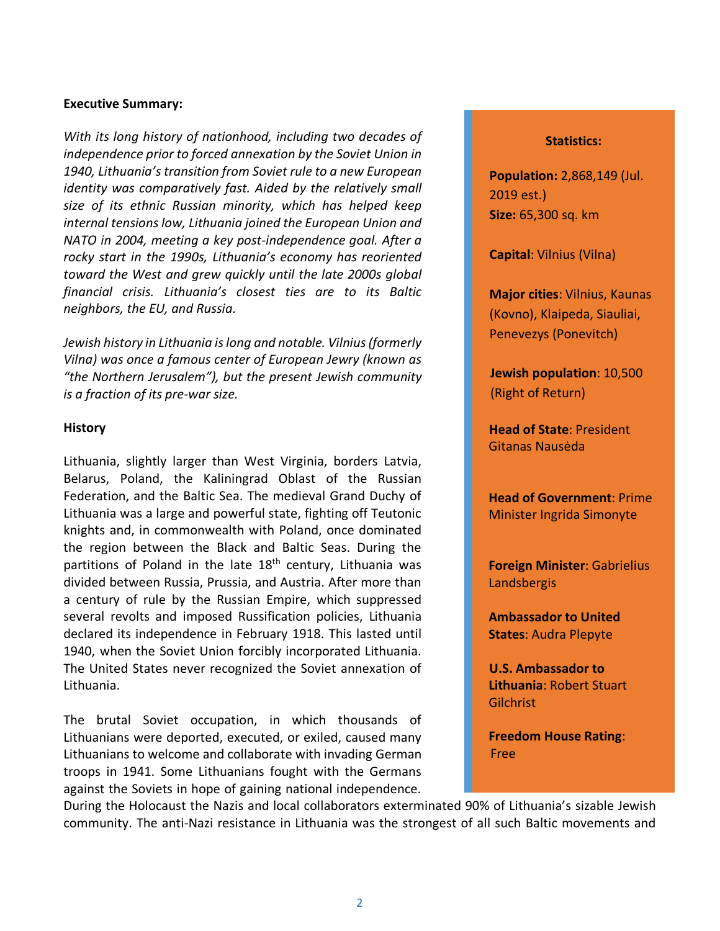#### <span id="page-1-0"></span>**Executive Summary:**

*With its long history of nationhood, including two decades of independence prior to forced annexation by the Soviet Union in 1940, Lithuania's transition from Soviet rule to a new European identity was comparatively fast. Aided by the relatively small size of its ethnic Russian minority, which has helped keep internal tensions low, Lithuania joined the European Union and NATO in 2004, meeting a key post-independence goal. After a rocky start in the 1990s, Lithuania's economy has reoriented toward the West and grew quickly until the late 2000s global financial crisis. Lithuania's closest ties are to its Baltic neighbors, the EU, and Russia.*

*Jewish history in Lithuania is long and notable. Vilnius (formerly Vilna) was once a famous center of European Jewry (known as "the Northern Jerusalem"), but the present Jewish community is a fraction of its pre-war size.* 

#### <span id="page-1-1"></span>**History**

Lithuania, slightly larger than West Virginia, borders [Latvia,](http://www.ncsj.org/Latvia.shtml) Belarus, Poland, the Kaliningrad Oblast of the Russian Federation, and the Baltic Sea. The medieval Grand Duchy of Lithuania was a large and powerful state, fighting off Teutonic knights and, in commonwealth with Poland, once dominated the region between the Black and Baltic Seas. During the partitions of Poland in the late 18<sup>th</sup> century, Lithuania was divided between Russia, Prussia, and Austria. After more than a century of rule by the Russian Empire, which suppressed several revolts and imposed Russification policies, Lithuania declared its independence in February 1918. This lasted until 1940, when the Soviet Union forcibly incorporated Lithuania. The United States never recognized the Soviet annexation of Lithuania.

The brutal Soviet occupation, in which thousands of Lithuanians were deported, executed, or exiled, caused many Lithuanians to welcome and collaborate with invading German troops in 1941. Some Lithuanians fought with the Germans against the Soviets in hope of gaining national independence.

#### **Statistics:**

**Population:** 2,868,149 (Jul. 2019 est.) **Size:** 65,300 sq. km

**Capital**: Vilnius (Vilna)

**Major cities**: Vilnius, Kaunas (Kovno), Klaipeda, Siauliai, Penevezys (Ponevitch)

**Jewish population**: 10,500 (Right of Return)

**Head of State**: President Gitanas Nausėda

**Head of Government**: Prime Minister Ingrida Simonyte

**Foreign Minister**: Gabrielius Landsbergis

**Ambassador to United States**: Audra Plepyte

**U.S. Ambassador to Lithuania**: Robert Stuart Gilchrist

**Freedom House Rating**: Free

During the Holocaust the Nazis and local collaborators exterminated 90% of Lithuania's sizable Jewish community. The anti-Nazi resistance in Lithuania was the strongest of all such Baltic movements and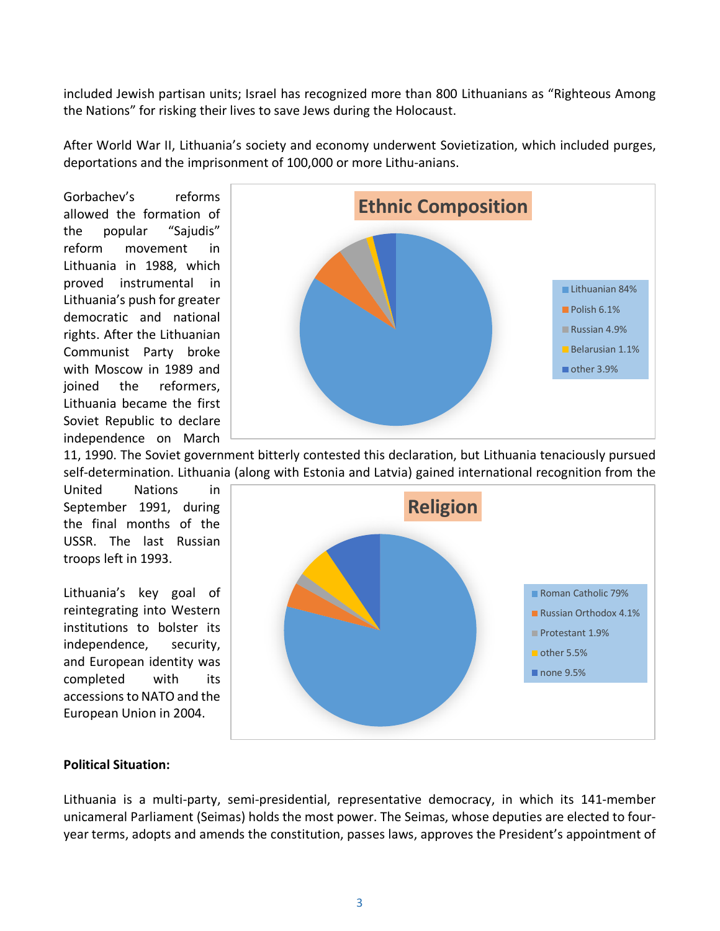included Jewish partisan units; Israel has recognized more than 800 Lithuanians as "Righteous Among the Nations" for risking their lives to save Jews during the Holocaust.

After World War II, Lithuania's society and economy underwent Sovietization, which included purges, deportations and the imprisonment of 100,000 or more Lithu-anians.

Gorbachev's reforms allowed the formation of the popular "Sajudis" reform movement in Lithuania in 1988, which proved instrumental in Lithuania's push for greater democratic and national rights. After the Lithuanian Communist Party broke with Moscow in 1989 and joined the reformers, Lithuania became the first Soviet Republic to declare independence on March



11, 1990. The Soviet government bitterly contested this declaration, but Lithuania tenaciously pursued self-determination. Lithuania (along with Estonia and Latvia) gained international recognition from the

United Nations in September 1991, during the final months of the USSR. The last Russian troops left in 1993.

Lithuania's key goal of reintegrating into Western institutions to bolster its independence, security, and European identity was completed with its accessions to NATO and the European Union in 2004.



### <span id="page-2-0"></span>**Political Situation:**

Lithuania is a multi-party, semi-presidential, representative democracy, in which its 141-member unicameral Parliament [\(Seimas\)](http://www3.lrs.lt/pls/inter/www_viewer.home?p_kalb_id=2) holds the most power. The Seimas, whose deputies are elected to fouryear terms, adopts and amends the constitution, passes laws, approves the President's appointment of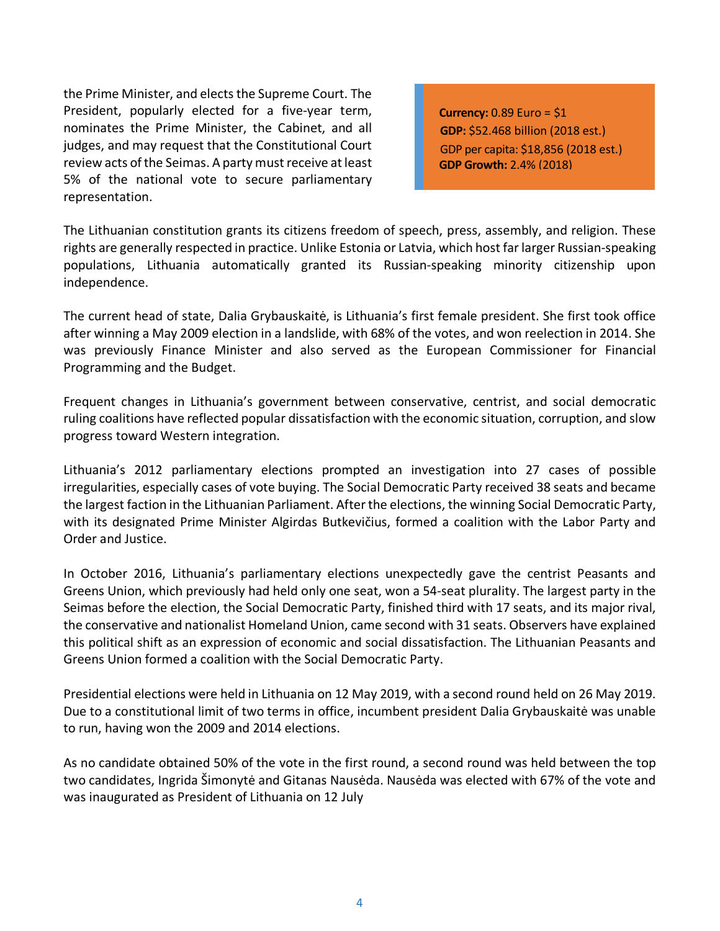th[e Prime Minister,](http://www.lrvk.lt/anglu/a-vyriaus/a-ministr/paksas_an.html) and elects the Supreme Court. The President, popularly elected for a five-year term, nominates the Prime Minister, the Cabinet, and all judges, and may request that the Constitutional Court review acts of the Seimas. A party must receive at least 5% of the national vote to secure parliamentary representation.

**Currency:** 0.89 Euro = \$1 **GDP:** \$52.468 billion (2018 est.) GDP per capita: \$18,856 (2018 est.) **GDP Growth:** 2.4% (2018)

The Lithuanian constitution grants its citizens freedom of speech, press, assembly, and religion. These rights are generally respected in practice. Unlike Estonia or Latvia, which host far larger Russian-speaking populations, Lithuania automatically granted its Russian-speaking minority citizenship upon independence.

The current head of state, Dalia Grybauskaitė, is Lithuania's first female president. She first took office after winning a May 2009 election in a landslide, with 68% of the votes, and won reelection in 2014. She was previously Finance Minister and also served as the European Commissioner for Financial Programming and the Budget.

Frequent changes in Lithuania's government between conservative, centrist, and social democratic ruling coalitions have reflected popular dissatisfaction with the economic situation, corruption, and slow progress toward Western integration.

Lithuania's 2012 parliamentary elections prompted an investigation into 27 cases of possible irregularities, especially cases of vote buying. The Social Democratic Party received 38 seats and became the largest faction in the Lithuanian Parliament. After the elections, the winning Social Democratic Party, with its designated Prime Minister Algirdas Butkevičius, formed a coalition with the Labor Party and Order and Justice.

In October 2016, Lithuania's parliamentary elections unexpectedly gave the centrist Peasants and Greens Union, which previously had held only one seat, won a 54-seat plurality. The largest party in the Seimas before the election, the Social Democratic Party, finished third with 17 seats, and its major rival, the conservative and nationalist Homeland Union, came second with 31 seats. Observers have explained this political shift as an expression of economic and social dissatisfaction. The Lithuanian Peasants and Greens Union formed a coalition with the Social Democratic Party.

Presidential elections were held in Lithuania on 12 May 2019, with a second round held on 26 May 2019. Due to a constitutional limit of two terms in office, incumbent president Dalia Grybauskaitė was unable to run, having won the 2009 and 2014 elections.

As no candidate obtained 50% of the vote in the first round, a second round was held between the top two candidates, Ingrida Šimonytė and Gitanas Nausėda. Nausėda was elected with 67% of the vote and was inaugurated as President of Lithuania on 12 July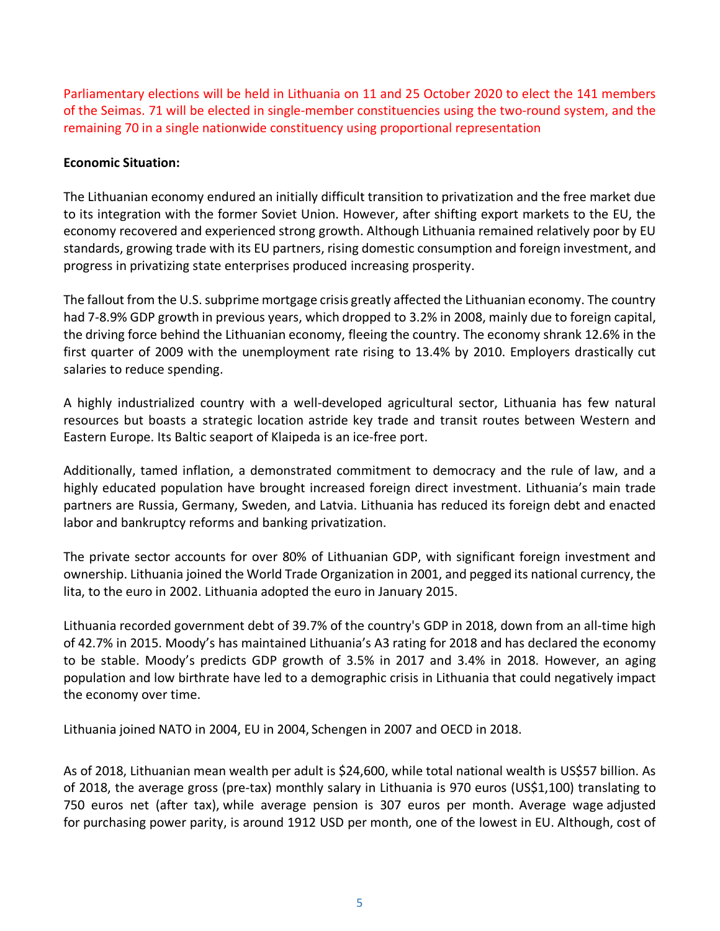Parliamentary elections will be held in Lithuania on 11 and 25 October 2020 to elect the 141 members of the Seimas. 71 will be elected in single-member constituencies using the two-round system, and the remaining 70 in a single nationwide constituency using proportional representation

## **Economic Situation:**

The Lithuanian economy endured an initially difficult transition to privatization and the free market due to its integration with the former Soviet Union. However, after shifting export markets to the EU, the economy recovered and experienced strong growth. Although Lithuania remained relatively poor by EU standards, growing trade with its EU partners, rising domestic consumption and foreign investment, and progress in privatizing state enterprises produced increasing prosperity.

The fallout from the U.S. subprime mortgage crisis greatly affected the Lithuanian economy. The country had 7-8.9% GDP growth in previous years, which dropped to 3.2% in 2008, mainly due to foreign capital, the driving force behind the Lithuanian economy, fleeing the country. The economy shrank 12.6% in the first quarter of 2009 with the unemployment rate rising to 13.4% by 2010. Employers drastically cut salaries to reduce spending.

A highly industrialized country with a well-developed agricultural sector, Lithuania has few natural resources but boasts a strategic location astride key trade and transit routes between Western and Eastern Europe. Its Baltic seaport of Klaipeda is an ice-free port.

Additionally, tamed inflation, a demonstrated commitment to democracy and the rule of law, and a highly educated population have brought increased foreign direct investment. Lithuania's main trade partners are Russia, Germany, Sweden, and Latvia. Lithuania has reduced its foreign debt and enacted labor and bankruptcy reforms and banking privatization.

The private sector accounts for over 80% of Lithuanian GDP, with significant foreign investment and ownership. Lithuania joined the World Trade Organization in 2001, and pegged its national currency, the lita, to the euro in 2002. Lithuania adopted the euro in January 2015.

Lithuania recorded government debt of 39.7% of the country's GDP in 2018, down from an all-time high of 42.7% in 2015. Moody's has maintained Lithuania's A3 rating for 2018 and has declared the economy to be stable. Moody's predicts GDP growth of 3.5% in 2017 and 3.4% in 2018. However, an aging population and low birthrate have led to a demographic crisis in Lithuania that could negatively impact the economy over time.

<span id="page-4-0"></span>Lithuania joined NATO in 2004, EU in 2004, [Schengen](https://en.wikipedia.org/wiki/Schengen_Area) in 2007 and [OECD](https://en.wikipedia.org/wiki/OECD) in 2018.

As of 2018, Lithuanian mean wealth per adult is [\\$2](https://en.wikipedia.org/wiki/USD)4,600, while total national wealth is [US\\$5](https://en.wikipedia.org/wiki/US$)7 billion. As of 2018, the average gross (pre-tax) monthly salary in Lithuania is 970 euros [\(US\\$1](https://en.wikipedia.org/wiki/US$),100) translating to 750 euros net (after tax), while average pension is 307 euros per month. [Average wage](https://en.wikipedia.org/wiki/List_of_countries_by_average_wage) adjusted for [purchasing power parity,](https://en.wikipedia.org/wiki/Purchasing_power_parity) is around 1912 USD per month, one of the lowest in EU. Although, [cost of](https://en.wikipedia.org/wiki/Cost_of_living)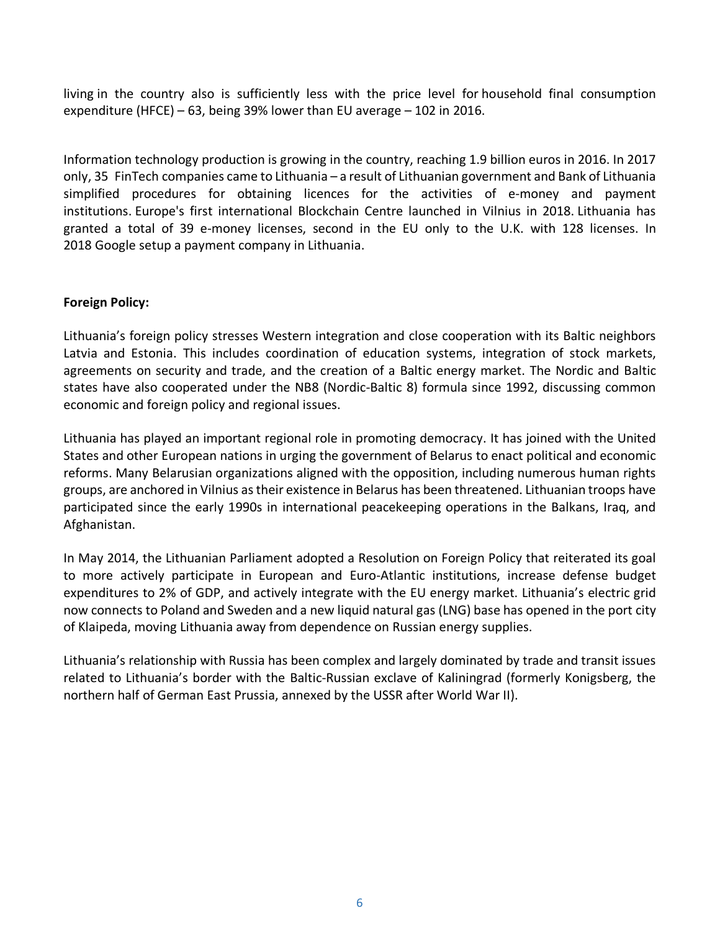[living](https://en.wikipedia.org/wiki/Cost_of_living) in the country also is sufficiently less with the price level for [household final consumption](https://en.wikipedia.org/wiki/Household_final_consumption_expenditure)  [expenditure](https://en.wikipedia.org/wiki/Household_final_consumption_expenditure) (HFCE) – 63, being 39% lower than EU average – 102 in 2016.

[Information technology](https://en.wikipedia.org/wiki/Information_technology) production is growing in the country, reaching 1.9 billion euros in 2016. In 2017 only, 35 [FinTech](https://en.wikipedia.org/wiki/FinTech) companies came to Lithuania – a result of Lithuanian government and Bank of Lithuania simplified procedures for obtaining licences for the activities of e-money and payment institutions. Europe's first international Blockchain Centre launched in Vilnius in 2018. Lithuania has granted a total of 39 e-money licenses, second in the EU only to the U.K. with 128 licenses. In 2018 [Google](https://en.wikipedia.org/wiki/Google) setup a payment company in Lithuania.

## **Foreign Policy:**

Lithuania's foreign policy stresses Western integration and close cooperation with its Baltic neighbors Latvia and Estonia. This includes coordination of education systems, integration of stock markets, agreements on security and trade, and the creation of a Baltic energy market. The Nordic and Baltic states have also cooperated under the NB8 (Nordic-Baltic 8) formula since 1992, discussing common economic and foreign policy and regional issues.

Lithuania has played an important regional role in promoting democracy. It has joined with the United States and other European nations in urging the government of Belarus to enact political and economic reforms. Many Belarusian organizations aligned with the opposition, including numerous human rights groups, are anchored in Vilnius as their existence in Belarus has been threatened. Lithuanian troops have participated since the early 1990s in international peacekeeping operations in the Balkans, Iraq, and Afghanistan.

In May 2014, the Lithuanian Parliament adopted a Resolution on Foreign Policy that reiterated its goal to more actively participate in European and Euro-Atlantic institutions, increase defense budget expenditures to 2% of GDP, and actively integrate with the EU energy market. Lithuania's electric grid now connects to Poland and Sweden and a new liquid natural gas (LNG) base has opened in the port city of Klaipeda, moving Lithuania away from dependence on Russian energy supplies.

Lithuania's relationship with Russia has been complex and largely dominated by trade and transit issues related to Lithuania's border with the Baltic-Russian exclave of Kaliningrad (formerly Konigsberg, the northern half of German East Prussia, annexed by the USSR after World War II).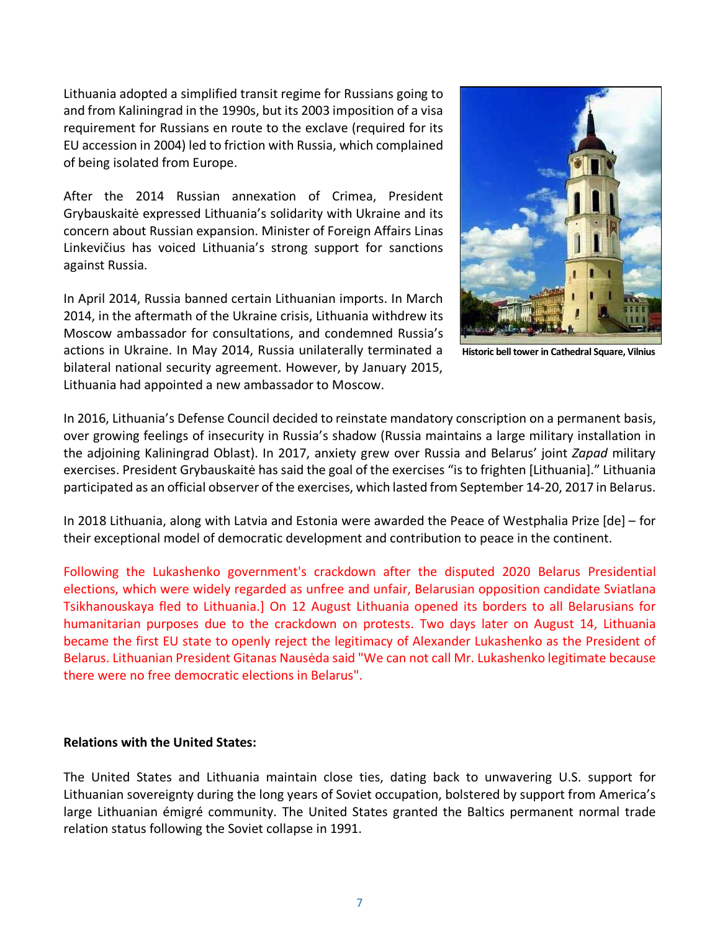Lithuania adopted a simplified transit regime for Russians going to and from Kaliningrad in the 1990s, but its 2003 imposition of a visa requirement for Russians en route to the exclave (required for its EU accession in 2004) led to friction with Russia, which complained of being isolated from Europe.

After the 2014 Russian annexation of Crimea, President Grybauskaitė expressed Lithuania's solidarity with Ukraine and its concern about Russian expansion. Minister of Foreign Affairs Linas Linkevičius has voiced Lithuania's strong support for sanctions against Russia.

In April 2014, Russia banned certain Lithuanian imports. In March 2014, in the aftermath of the Ukraine crisis, Lithuania withdrew its Moscow ambassador for consultations, and condemned Russia's actions in Ukraine. In May 2014, Russia unilaterally terminated a bilateral national security agreement. However, by January 2015, Lithuania had appointed a new ambassador to Moscow.



**Historic bell tower in Cathedral Square, Vilnius**

In 2016, Lithuania's Defense Council decided to reinstate mandatory conscription on a permanent basis, over growing feelings of insecurity in Russia's shadow (Russia maintains a large military installation in the adjoining Kaliningrad Oblast). In 2017, anxiety grew over Russia and Belarus' joint *Zapad* military exercises. President Grybauskaitė has said the goal of the exercises "is to frighten [Lithuania]." Lithuania participated as an official observer of the exercises, which lasted from September 14-20, 2017 in Belarus.

In 2018 Lithuania, along with Latvia and Estonia were awarded the [Peace of Westphalia Prize](https://en.wikipedia.org/w/index.php?title=Peace_of_Westphalia_Prize&action=edit&redlink=1) [\[de\]](https://de.wikipedia.org/wiki/Internationaler_Preis_des_Westf%C3%A4lischen_Friedens) – for their exceptional model of democratic development and contribution to peace in the continent.

Following the Lukashenko government's crackdown after the disputed 2020 Belarus Presidential elections, which were widely regarded as unfree and unfair, Belarusian opposition candidate Sviatlana Tsikhanouskaya fled to Lithuania.] On 12 August Lithuania opened its borders to all Belarusians for humanitarian purposes due to the crackdown on protests. Two days later on August 14, Lithuania became the first EU state to openly reject the legitimacy of Alexander Lukashenko as the President of Belarus. Lithuanian President Gitanas Nausėda said "We can not call Mr. Lukashenko legitimate because there were no free democratic elections in Belarus".

#### <span id="page-6-0"></span>**Relations with the United States:**

The United States and Lithuania maintain close ties, dating back to unwavering U.S. support for Lithuanian sovereignty during the long years of Soviet occupation, bolstered by support from America's large Lithuanian émigré community. The United States granted the Baltics permanent normal trade relation status following the Soviet collapse in 1991.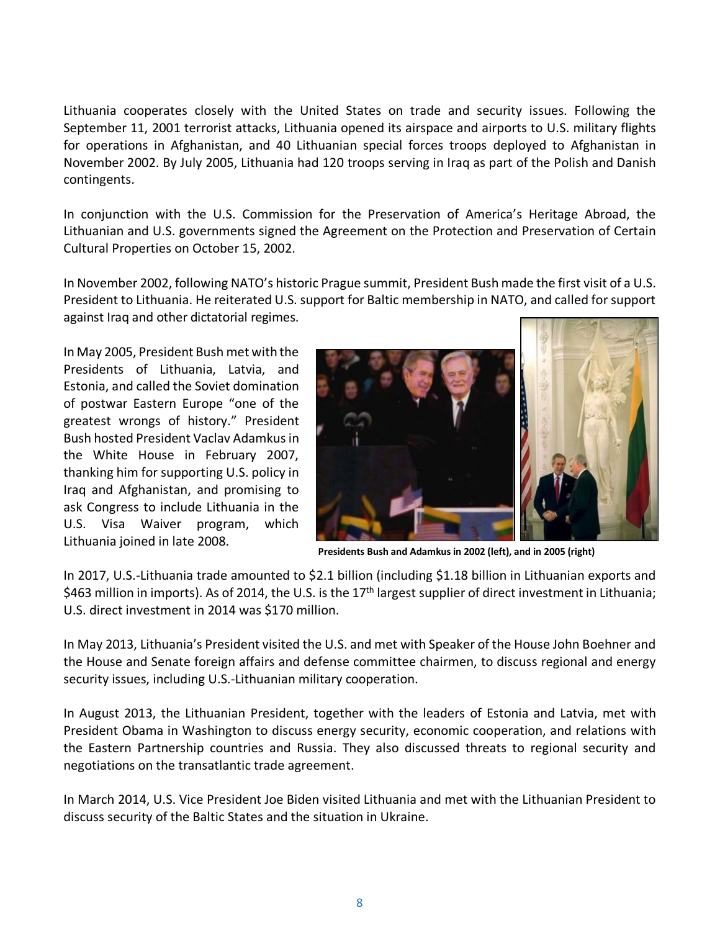Lithuania cooperates closely with the United States on trade and security issues. Following the September 11, 2001 terrorist attacks, Lithuania opened its airspace and airports to U.S. military flights for operations in Afghanistan, and 40 Lithuanian special forces troops deployed to Afghanistan in November 2002. By July 2005, Lithuania had 120 troops serving in Iraq as part of the Polish and Danish contingents.

In conjunction with the U.S. Commission for the Preservation of America's Heritage Abroad, the Lithuanian and U.S. governments signed the Agreement on the Protection and Preservation of Certain Cultural Properties on October 15, 2002.

In November 2002, following NATO's historic Prague summit, President Bush made the first visit of a U.S. President to Lithuania. He reiterated U.S. support for Baltic membership in NATO, and called for support against Iraq and other dictatorial regimes.

In May 2005, President Bush met with the Presidents of Lithuania, Latvia, and Estonia, and called the Soviet domination of postwar Eastern Europe "one of the greatest wrongs of history." President Bush hosted President Vaclav Adamkus in the White House in February 2007, thanking him for supporting U.S. policy in Iraq and Afghanistan, and promising to ask Congress to include Lithuania in the U.S. Visa Waiver program, which Lithuania joined in late 2008.



**Presidents Bush and Adamkus in 2002 (left), and in 2005 (right)**

In 2017, U.S.-Lithuania trade amounted to \$2.1 billion (including \$1.18 billion in Lithuanian exports and \$463 million in imports). As of 2014, the U.S. is the 17<sup>th</sup> largest supplier of direct investment in Lithuania; U.S. direct investment in 2014 was \$170 million.

In May 2013, Lithuania's President visited the U.S. and met with Speaker of the House John Boehner and the House and Senate foreign affairs and defense committee chairmen, to discuss regional and energy security issues, including U.S.-Lithuanian military cooperation.

In August 2013, the Lithuanian President, together with the leaders of Estonia and Latvia, met with President Obama in Washington to discuss energy security, economic cooperation, and relations with the Eastern Partnership countries and Russia. They also discussed threats to regional security and negotiations on the transatlantic trade agreement.

In March 2014, U.S. Vice President Joe Biden visited Lithuania and met with the Lithuanian President to discuss security of the Baltic States and the situation in Ukraine.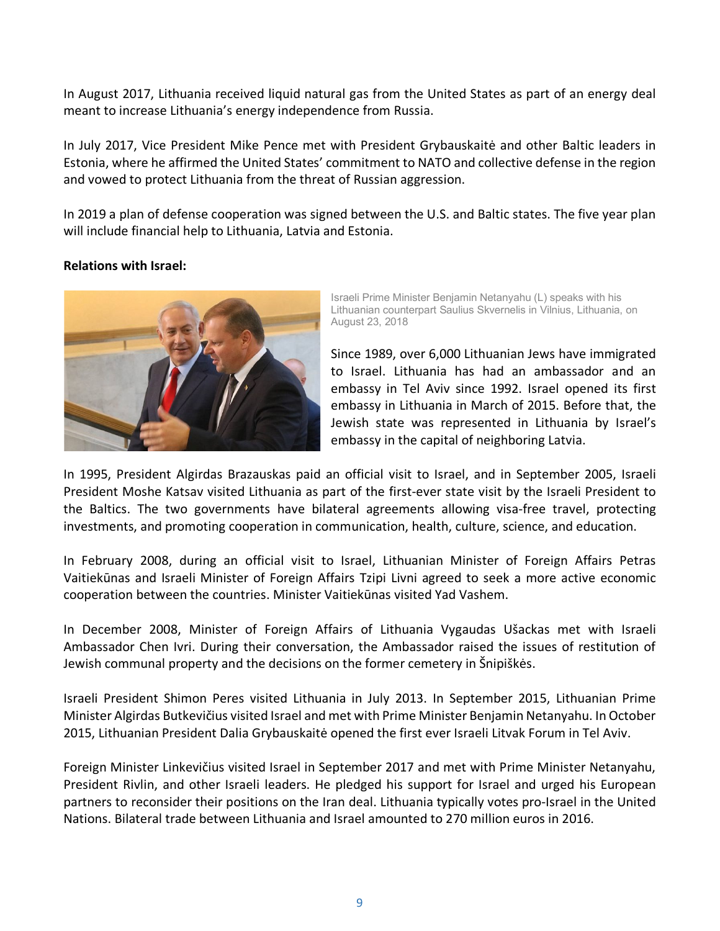In August 2017, Lithuania received liquid natural gas from the United States as part of an energy deal meant to increase Lithuania's energy independence from Russia.

In July 2017, Vice President Mike Pence met with President Grybauskaitė and other Baltic leaders in Estonia, where he affirmed the United States' commitment to NATO and collective defense in the region and vowed to protect Lithuania from the threat of Russian aggression.

In 2019 a plan of defense cooperation was signed between the U.S. and Baltic states. The five year plan will include financial help to Lithuania, Latvia and Estonia.

## <span id="page-8-0"></span>**Relations with Israel:**



Israeli Prime Minister Benjamin Netanyahu (L) speaks with his Lithuanian counterpart Saulius Skvernelis in Vilnius, Lithuania, on August 23, 2018

Since 1989, over 6,000 Lithuanian Jews have immigrated to Israel. Lithuania has had an ambassador and an embassy in Tel Aviv since 1992. Israel opened its first embassy in Lithuania in March of 2015. Before that, the Jewish state was represented in Lithuania by Israel's embassy in the capital of neighboring Latvia.

In 1995, President Algirdas Brazauskas paid an official visit to Israel, and in September 2005, Israeli President Moshe Katsav visited Lithuania as part of the first-ever state visit by the Israeli President to the Baltics. The two governments have bilateral agreements allowing visa-free travel, protecting investments, and promoting cooperation in communication, health, culture, science, and education.

In February 2008, during an official visit to Israel, Lithuanian Minister of Foreign Affairs Petras Vaitiekūnas and Israeli Minister of Foreign Affairs Tzipi Livni agreed to seek a more active economic cooperation between the countries. Minister Vaitiekūnas visited Yad Vashem.

In December 2008, Minister of Foreign Affairs of Lithuania Vygaudas Ušackas met with Israeli Ambassador Chen Ivri. During their conversation, the Ambassador raised the issues of restitution of Jewish communal property and the decisions on the former cemetery in Šnipiškės.

Israeli President Shimon Peres visited Lithuania in July 2013. In September 2015, Lithuanian Prime Minister Algirdas Butkevičius visited Israel and met with Prime Minister Benjamin Netanyahu. In October 2015, Lithuanian President Dalia Grybauskaitė opened the first ever Israeli Litvak Forum in Tel Aviv.

Foreign Minister Linkevičius visited Israel in September 2017 and met with Prime Minister Netanyahu, President Rivlin, and other Israeli leaders. He pledged his support for Israel and urged his European partners to reconsider their positions on the Iran deal. Lithuania typically votes pro-Israel in the United Nations. Bilateral trade between Lithuania and Israel amounted to 270 million euros in 2016.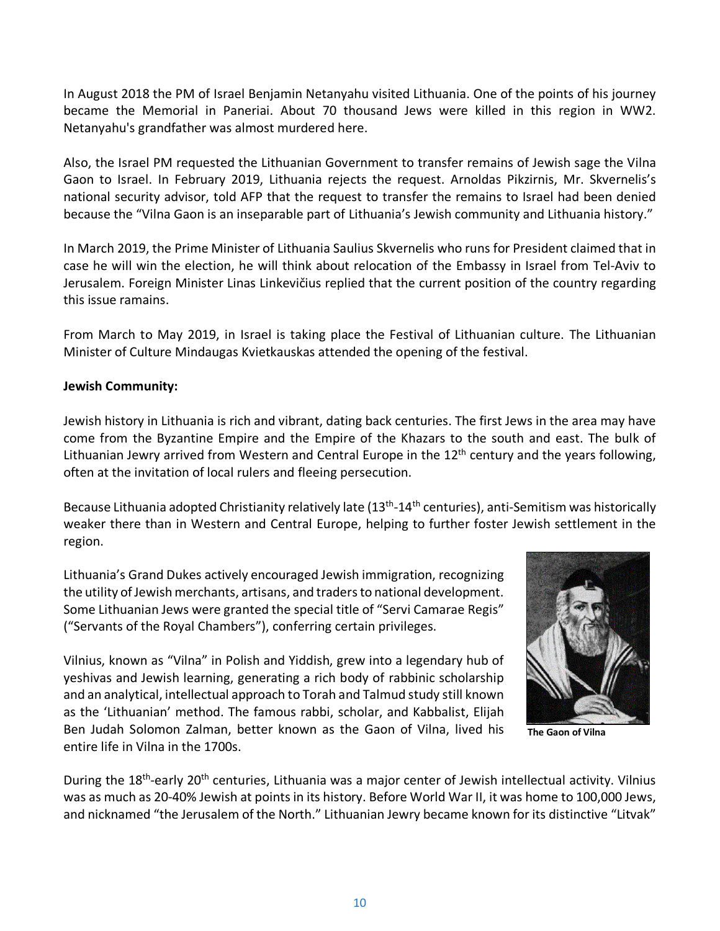In August 2018 the PM of Israel Benjamin Netanyahu visited Lithuania. One of the points of his journey became the Memorial in Paneriai. About 70 thousand Jews were killed in this region in WW2. Netanyahu's grandfather was almost murdered here.

Also, the Israel PM requested the Lithuanian Government to transfer remains of Jewish sage the Vilna Gaon to Israel. In February 2019, Lithuania rejects the request. Arnoldas Pikzirnis, Mr. Skvernelis's national security advisor, told AFP that the request to transfer the remains to Israel had been denied because the "Vilna Gaon is an inseparable part of Lithuania's Jewish community and Lithuania history."

In March 2019, the Prime Minister of Lithuania Saulius Skvernelis who runs for President claimed that in case he will win the election, he will think about relocation of the Embassy in Israel from Tel-Aviv to Jerusalem. Foreign Minister Linas Linkevičius replied that the current position of the country regarding this issue ramains.

From March to May 2019, in Israel is taking place the Festival of Lithuanian culture. The Lithuanian Minister of Culture Mindaugas Kvietkauskas attended the opening of the festival.

## <span id="page-9-0"></span>**Jewish Community:**

Jewish history in Lithuania is rich and vibrant, dating back centuries. The first Jews in the area may have come from the Byzantine Empire and the Empire of the Khazars to the south and east. The bulk of Lithuanian Jewry arrived from Western and Central Europe in the  $12<sup>th</sup>$  century and the years following, often at the invitation of local rulers and fleeing persecution.

Because Lithuania adopted Christianity relatively late  $(13<sup>th</sup>-14<sup>th</sup>$  centuries), anti-Semitism was historically weaker there than in Western and Central Europe, helping to further foster Jewish settlement in the region.

Lithuania's Grand Dukes actively encouraged Jewish immigration, recognizing the utility of Jewish merchants, artisans, and traders to national development. Some Lithuanian Jews were granted the special title of "Servi Camarae Regis" ("Servants of the Royal Chambers"), conferring certain privileges.

Vilnius, known as "Vilna" in Polish and Yiddish, grew into a legendary hub of yeshivas and Jewish learning, generating a rich body of rabbinic scholarship and an analytical, intellectual approach to Torah and Talmud study still known as the 'Lithuanian' method. The famous rabbi, scholar, and Kabbalist, Elijah Ben Judah Solomon Zalman, better known as the Gaon of Vilna, lived his entire life in Vilna in the 1700s.



 **The Gaon of Vilna**

During the 18<sup>th</sup>-early 20<sup>th</sup> centuries, Lithuania was a major center of Jewish intellectual activity. Vilnius was as much as 20-40% Jewish at points in its history. Before World War II, it was home to 100,000 Jews, and nicknamed "the Jerusalem of the North." Lithuanian Jewry became known for its distinctive "Litvak"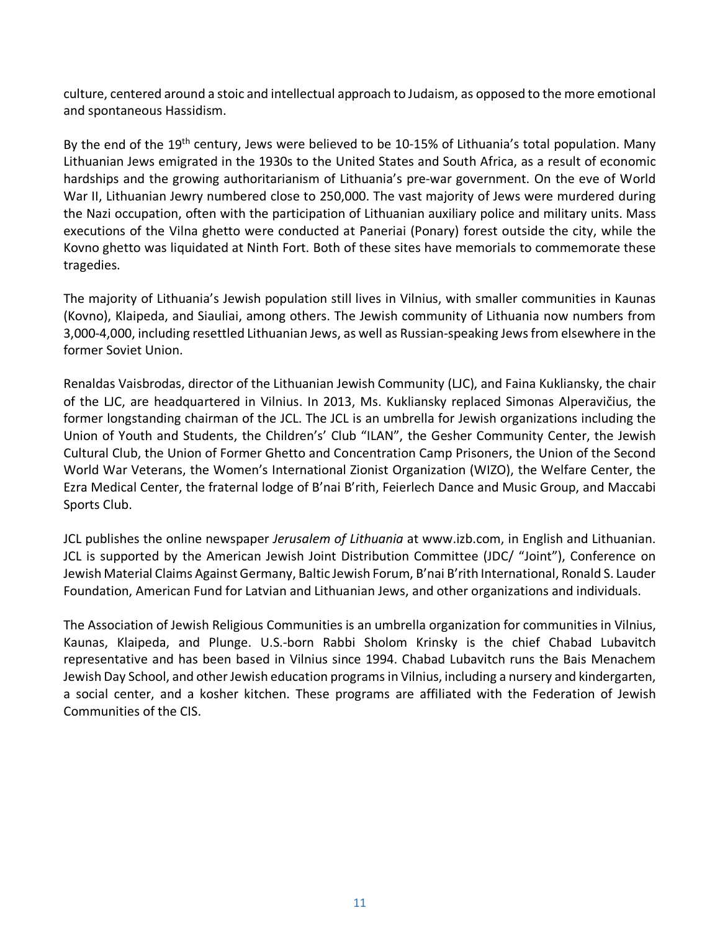culture, centered around a stoic and intellectual approach to Judaism, as opposed to the more emotional and spontaneous Hassidism.

By the end of the 19<sup>th</sup> century, Jews were believed to be 10-15% of Lithuania's total population. Many Lithuanian Jews emigrated in the 1930s to the United States and South Africa, as a result of economic hardships and the growing authoritarianism of Lithuania's pre-war government. On the eve of World War II, Lithuanian Jewry numbered close to 250,000. The vast majority of Jews were murdered during the Nazi occupation, often with the participation of Lithuanian auxiliary police and military units. Mass executions of the Vilna ghetto were conducted at Paneriai (Ponary) forest outside the city, while the Kovno ghetto was liquidated at Ninth Fort. Both of these sites have memorials to commemorate these tragedies.

The majority of Lithuania's Jewish population still lives in Vilnius, with smaller communities in Kaunas (Kovno), Klaipeda, and Siauliai, among others. The Jewish community of Lithuania now numbers from 3,000-4,000, including resettled Lithuanian Jews, as well as Russian-speaking Jewsfrom elsewhere in the former Soviet Union.

Renaldas Vaisbrodas, director of the Lithuanian Jewish Community (LJC), and Faina Kukliansky, the chair of the LJC, are headquartered in Vilnius. In 2013, Ms. Kukliansky replaced Simonas Alperavičius, the former longstanding chairman of the JCL. The JCL is an umbrella for Jewish organizations including the Union of Youth and Students, the Children's' Club "ILAN", the Gesher Community Center, the Jewish Cultural Club, the Union of Former Ghetto and Concentration Camp Prisoners, the Union of the Second World War Veterans, the Women's International Zionist Organization (WIZO), the Welfare Center, the Ezra Medical Center, the fraternal lodge of B'nai B'rith, Feierlech Dance and Music Group, and Maccabi Sports Club.

JCL publishes the online newspaper *Jerusalem of Lithuania* at [www.izb.com,](http://www.izb.com/) in English and Lithuanian. JCL is supported by the American Jewish Joint Distribution Committee (JDC/ "Joint"), Conference on Jewish Material Claims Against Germany, Baltic Jewish Forum, B'nai B'rith International, Ronald S. Lauder Foundation, American Fund for Latvian and Lithuanian Jews, and other organizations and individuals.

The Association of Jewish Religious Communities is an umbrella organization for communities in Vilnius, Kaunas, Klaipeda, and Plunge. U.S.-born Rabbi Sholom Krinsky is the chief Chabad Lubavitch representative and has been based in Vilnius since 1994. Chabad Lubavitch runs the Bais Menachem Jewish Day School, and other Jewish education programs in Vilnius, including a nursery and kindergarten, a social center, and a kosher kitchen. These programs are affiliated with the Federation of Jewish Communities of the CIS.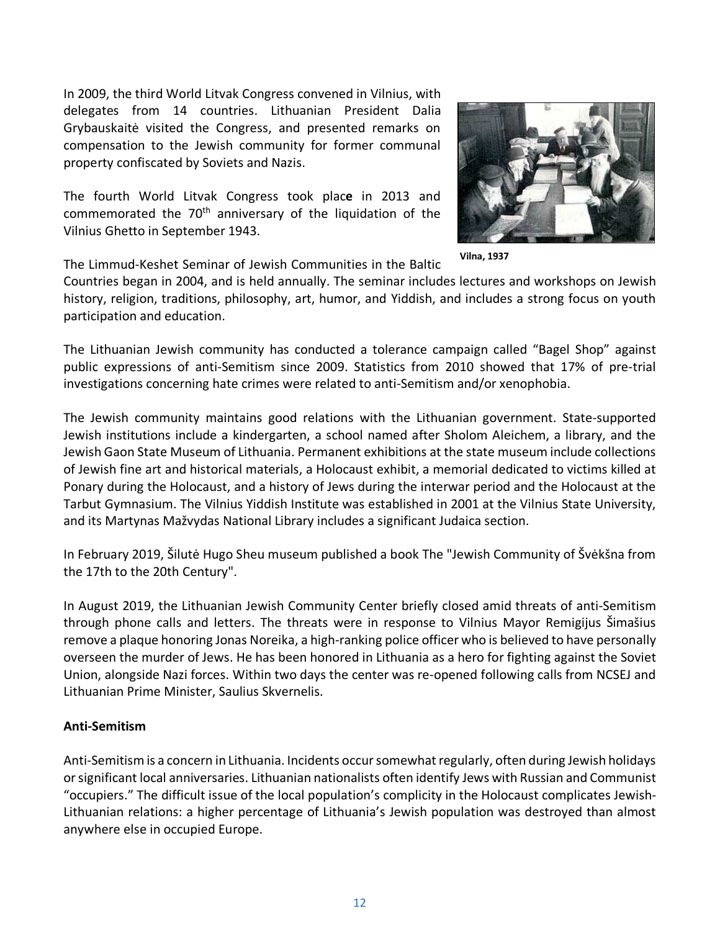In 2009, the third World Litvak Congress convened in Vilnius, with delegates from 14 countries. Lithuanian President Dalia Grybauskaitė visited the Congress, and presented remarks on compensation to the Jewish community for former communal property confiscated by Soviets and Nazis.

The fourth World Litvak Congress took plac**e** in 2013 and commemorated the  $70<sup>th</sup>$  anniversary of the liquidation of the Vilnius Ghetto in September 1943.



**Vilna, 1937**

The Limmud-Keshet Seminar of Jewish Communities in the Baltic

Countries began in 2004, and is held annually. The seminar includes lectures and workshops on Jewish history, religion, traditions, philosophy, art, humor, and Yiddish, and includes a strong focus on youth participation and education.

The Lithuanian Jewish community has conducted a tolerance campaign called "Bagel Shop" against public expressions of anti-Semitism since 2009. Statistics from 2010 showed that 17% of pre-trial investigations concerning hate crimes were related to anti-Semitism and/or xenophobia.

The Jewish community maintains good relations with the Lithuanian government. State-supported Jewish institutions include a kindergarten, a school named after Sholom Aleichem, a library, and the Jewish Gaon State Museum of Lithuania. Permanent exhibitions at the state museum include collections of Jewish fine art and historical materials, a Holocaust exhibit, a memorial dedicated to victims killed at Ponary during the Holocaust, and a history of Jews during the interwar period and the Holocaust at the Tarbut Gymnasium. The Vilnius Yiddish Institute was established in 2001 at the Vilnius State University, and its Martynas Mažvydas National Library includes a significant Judaica section.

In February 2019, Šilutė Hugo Sheu museum published a book The "Jewish Community of Švėkšna from the 17th to the 20th Century".

In August 2019, the Lithuanian Jewish Community Center briefly closed amid threats of anti-Semitism through phone calls and letters. The threats were in response to Vilnius Mayor Remigijus Šimašius remove a plaque honoring Jonas Noreika, a high-ranking police officer who is believed to have personally overseen the murder of Jews. He has been honored in Lithuania as a hero for fighting against the Soviet Union, alongside Nazi forces. Within two days the center was re-opened following calls from NCSEJ and Lithuanian Prime Minister, Saulius Skvernelis.

## **Anti-Semitism**

Anti-Semitism is a concern in Lithuania. Incidents occursomewhat regularly, often during Jewish holidays or significant local anniversaries. Lithuanian nationalists often identify Jews with Russian and Communist "occupiers." The difficult issue of the local population's complicity in the Holocaust complicates Jewish-Lithuanian relations: a higher percentage of Lithuania's Jewish population was destroyed than almost anywhere else in occupied Europe.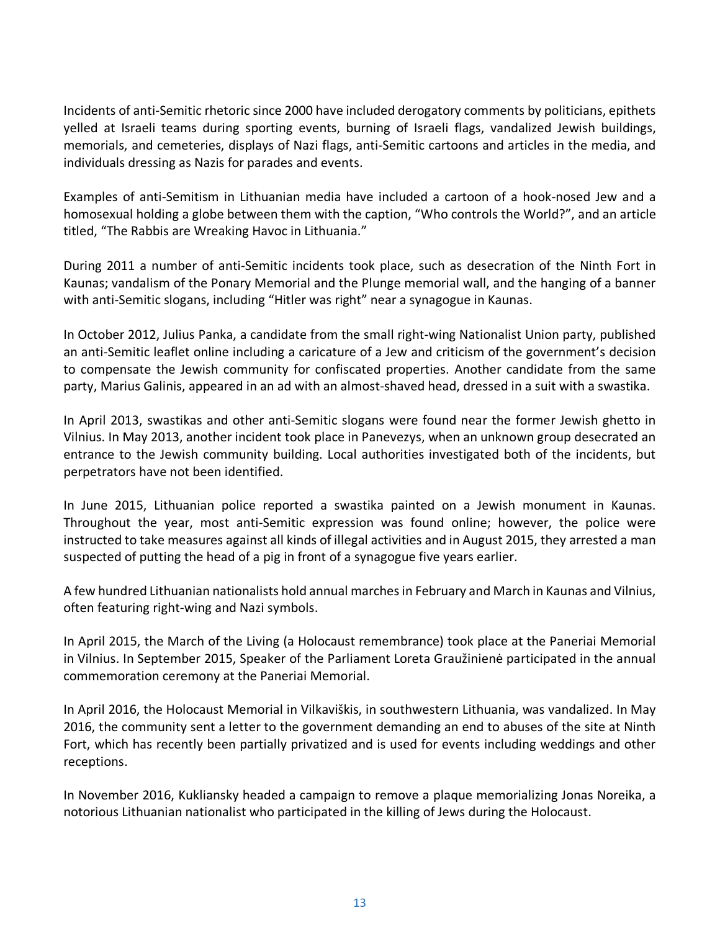Incidents of anti-Semitic rhetoric since 2000 have included derogatory comments by politicians, epithets yelled at Israeli teams during sporting events, burning of Israeli flags, vandalized Jewish buildings, memorials, and cemeteries, displays of Nazi flags, anti-Semitic cartoons and articles in the media, and individuals dressing as Nazis for parades and events.

Examples of anti-Semitism in Lithuanian media have included a cartoon of a hook-nosed Jew and a homosexual holding a globe between them with the caption, "Who controls the World?", and an article titled, "The Rabbis are Wreaking Havoc in Lithuania."

During 2011 a number of anti-Semitic incidents took place, such as desecration of the Ninth Fort in Kaunas; vandalism of the Ponary Memorial and the Plunge memorial wall, and the hanging of a banner with anti-Semitic slogans, including "Hitler was right" near a synagogue in Kaunas.

In October 2012, Julius Panka, a candidate from the small right-wing Nationalist Union party, published an anti-Semitic leaflet online including a caricature of a Jew and criticism of the government's decision to compensate the Jewish community for confiscated properties. Another candidate from the same party, Marius Galinis, appeared in an ad with an almost-shaved head, dressed in a suit with a swastika.

In April 2013, swastikas and other anti-Semitic slogans were found near the former Jewish ghetto in Vilnius. In May 2013, another incident took place in Panevezys, when an unknown group desecrated an entrance to the Jewish community building. Local authorities investigated both of the incidents, but perpetrators have not been identified.

In June 2015, Lithuanian police reported a swastika painted on a Jewish monument in Kaunas. Throughout the year, most anti-Semitic expression was found online; however, the police were instructed to take measures against all kinds of illegal activities and in August 2015, they arrested a man suspected of putting the head of a pig in front of a synagogue five years earlier.

A few hundred Lithuanian nationalists hold annual marches in February and March in Kaunas and Vilnius, often featuring right-wing and Nazi symbols.

In April 2015, the March of the Living (a Holocaust remembrance) took place at the Paneriai Memorial in Vilnius. In September 2015, Speaker of the Parliament Loreta Graužinienė participated in the annual commemoration ceremony at the Paneriai Memorial.

In April 2016, the Holocaust Memorial in Vilkaviškis, in southwestern Lithuania, was vandalized. In May 2016, the community sent a letter to the government demanding an end to abuses of the site at Ninth Fort, which has recently been partially privatized and is used for events including weddings and other receptions.

In November 2016, Kukliansky headed a campaign to remove a plaque memorializing Jonas Noreika, a notorious Lithuanian nationalist who participated in the killing of Jews during the Holocaust.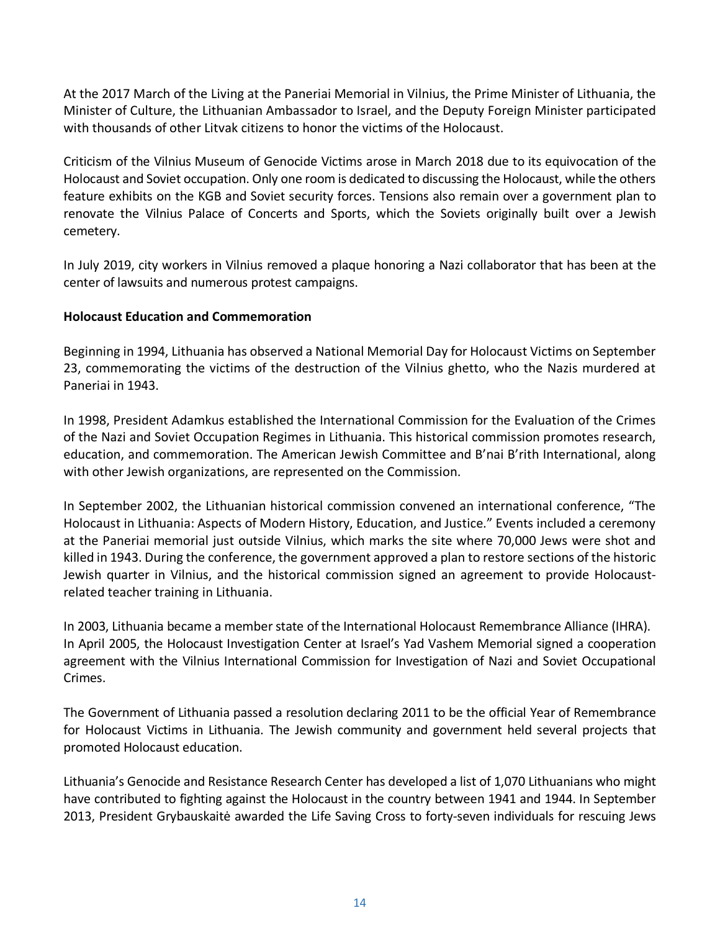At the 2017 March of the Living at the Paneriai Memorial in Vilnius, the Prime Minister of Lithuania, the Minister of Culture, the Lithuanian Ambassador to Israel, and the Deputy Foreign Minister participated with thousands of other Litvak citizens to honor the victims of the Holocaust.

Criticism of the Vilnius Museum of Genocide Victims arose in March 2018 due to its equivocation of the Holocaust and Soviet occupation. Only one room is dedicated to discussing the Holocaust, while the others feature exhibits on the KGB and Soviet security forces. Tensions also remain over a government plan to renovate the Vilnius Palace of Concerts and Sports, which the Soviets originally built over a Jewish cemetery.

In July 2019, city workers in Vilnius removed a plaque honoring a Nazi collaborator that has been at the center of lawsuits and numerous protest campaigns.

## **Holocaust Education and Commemoration**

Beginning in 1994, Lithuania has observed a National Memorial Day for Holocaust Victims on September 23, commemorating the victims of the destruction of the Vilnius ghetto, who the Nazis murdered at Paneriai in 1943.

In 1998, President Adamkus established the International Commission for the Evaluation of the Crimes of the Nazi and Soviet Occupation Regimes in Lithuania. This historical commission promotes research, education, and commemoration. The [American Jewish Committee](http://www.ajc.org/) and [B'nai B'rith International,](http://www.bnaibrith.org/) along with other Jewish organizations, are represented on the Commission.

In September 2002, the Lithuanian historical commission convened an international conference, "The Holocaust in Lithuania: Aspects of Modern History, Education, and Justice." Events included a ceremony at the Paneriai memorial just outside Vilnius, which marks the site where 70,000 Jews were shot and killed in 1943. During the conference, the government approved a plan to restore sections of the historic Jewish quarter in Vilnius, and the historical commission signed an agreement to provide Holocaustrelated teacher training in Lithuania.

In 2003, Lithuania became a member state of the International Holocaust Remembrance Alliance (IHRA). In April 2005, the Holocaust Investigation Center at Israel's Yad Vashem Memorial signed a cooperation agreement with the Vilnius International Commission for Investigation of Nazi and Soviet Occupational Crimes.

The Government of Lithuania passed a resolution declaring 2011 to be the official Year of Remembrance for Holocaust Victims in Lithuania. The Jewish community and government held several projects that promoted Holocaust education.

Lithuania's Genocide and Resistance Research Center has developed a list of 1,070 Lithuanians who might have contributed to fighting against the Holocaust in the country between 1941 and 1944. In September 2013, President Grybauskaitė awarded the Life Saving Cross to forty-seven individuals for rescuing Jews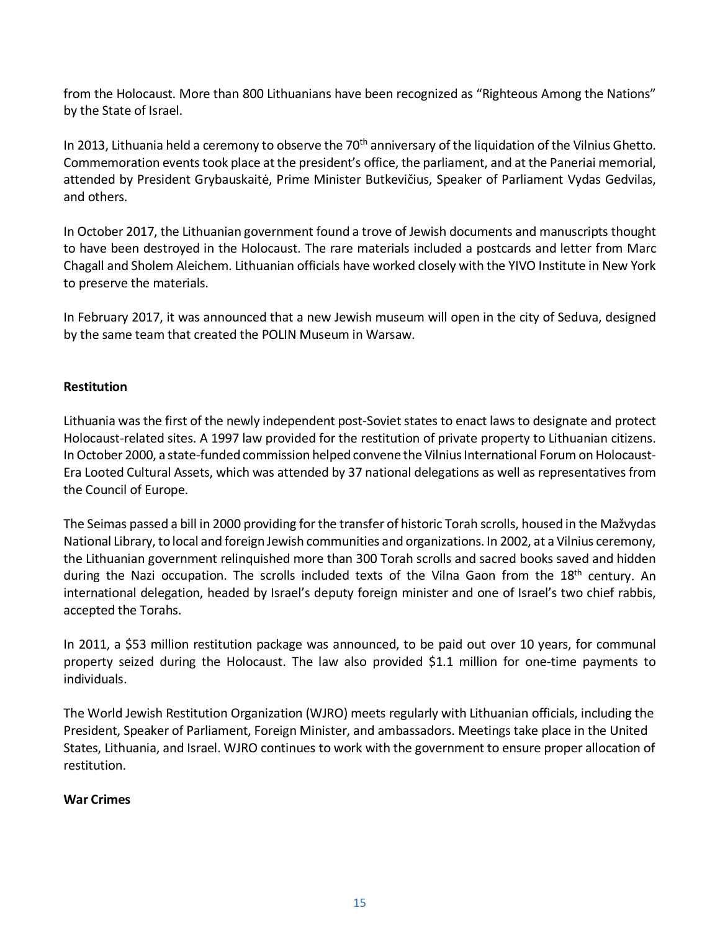from the Holocaust. More than 800 Lithuanians have been recognized as "Righteous Among the Nations" by the State of Israel.

In 2013, Lithuania held a ceremony to observe the 70<sup>th</sup> anniversary of the liquidation of the Vilnius Ghetto. Commemoration events took place at the president's office, the parliament, and at the Paneriai memorial, attended by President Grybauskaitė, Prime Minister Butkevičius, Speaker of Parliament Vydas Gedvilas, and others.

In October 2017, the Lithuanian government found a trove of Jewish documents and manuscripts thought to have been destroyed in the Holocaust. The rare materials included a postcards and letter from Marc Chagall and Sholem Aleichem. Lithuanian officials have worked closely with the YIVO Institute in New York to preserve the materials.

In February 2017, it was announced that a new Jewish museum will open in the city of Seduva, designed by the same team that created the POLIN Museum in Warsaw.

## **Restitution**

Lithuania was the first of the newly independent post-Soviet states to enact laws to designate and protect Holocaust-related sites. A 1997 law provided for the restitution of private property to Lithuanian citizens. In October 2000, a state-funded commission helped convene the Vilnius International Forum on Holocaust-Era Looted Cultural Assets, which was attended by 37 national delegations as well as representatives from the Council of Europe.

The [Seimas](http://www3.lrs.lt/pls/inter/www_viewer.home?p_kalb_id=2) passed a bill in 2000 providing for the transfer of historic Torah scrolls, housed in the Mažvydas National Library, to local and foreign Jewish communities and organizations. In 2002, at a Vilnius ceremony, the Lithuanian government relinquished more than 300 Torah scrolls and sacred books saved and hidden during the Nazi occupation. The scrolls included texts of the Vilna Gaon from the 18<sup>th</sup> century. An international delegation, headed by Israel's deputy foreign minister and one of Israel's two chief rabbis, accepted the Torahs.

In 2011, a \$53 million restitution package was announced, to be paid out over 10 years, for communal property seized during the Holocaust. The law also provided \$1.1 million for one-time payments to individuals.

The World Jewish Restitution Organization (WJRO) meets regularly with Lithuanian officials, including the President, Speaker of Parliament, Foreign Minister, and ambassadors. Meetings take place in the United States, Lithuania, and Israel. WJRO continues to work with the government to ensure proper allocation of restitution.

## **War Crimes**